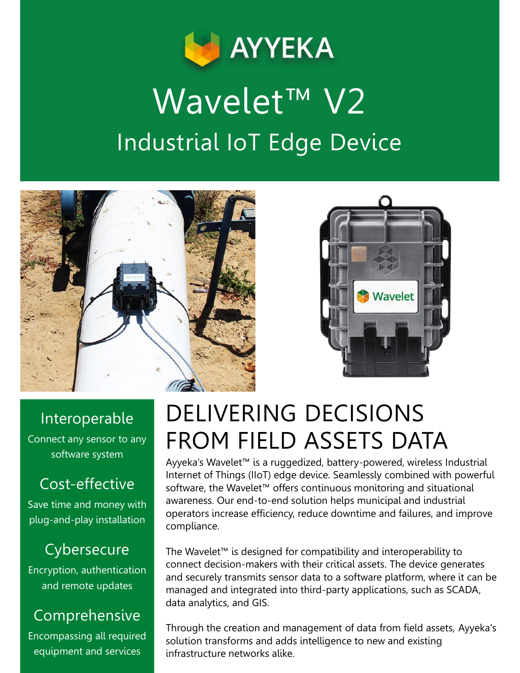

# Wavelet<sup>™</sup> V2 Industrial IoT Edge Device





#### Interoperable

Connect any sensor to any software system

### Cost-effective

Save time and money with plug-and-play installation

### **Cybersecure**

Encryption, authentication and remote updates

### Comprehensive

Encompassing all required equipment and services

## DELIVERING DECISIONS FROM FIELD ASSETS DATA

Ayyeka's Wavelet™ is a ruggedized, battery-powered, wireless Industrial Internet of Things (IIoT) edge device. Seamlessly combined with powerful software, the Wavelet™ offers continuous monitoring and situational awareness. Our end-to-end solution helps municipal and industrial operators increase efficiency, reduce downtime and failures, and improve compliance.

The Wavelet™ is designed for compatibility and interoperability to connect decision-makers with their critical assets. The device generates and securely transmits sensor data to a software platform, where it can be managed and integrated into third-party applications, such as SCADA, data analytics, and GIS.

Through the creation and management of data from field assets, Ayyeka's solution transforms and adds intelligence to new and existing infrastructure networks alike.